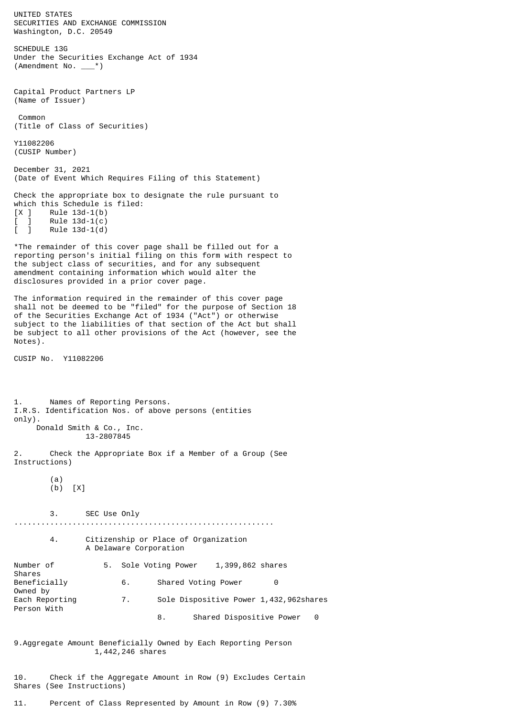UNITED STATES SECURITIES AND EXCHANGE COMMISSION Washington, D.C. 20549 SCHEDULE 13G Under the Securities Exchange Act of 1934 (Amendment No. \_\_\_\*) Capital Product Partners LP (Name of Issuer) Common (Title of Class of Securities) Y11082206 (CUSIP Number) December 31, 2021 (Date of Event Which Requires Filing of this Statement) Check the appropriate box to designate the rule pursuant to which this Schedule is filed:  $[X \mid$  Rule 13d-1(b) ] Rule 13d-1(c)<br>] Rule 13d-1(d)  $\overline{1}$  Rule 13d-1(d) \*The remainder of this cover page shall be filled out for a reporting person's initial filing on this form with respect to the subject class of securities, and for any subsequent amendment containing information which would alter the disclosures provided in a prior cover page. The information required in the remainder of this cover page shall not be deemed to be "filed" for the purpose of Section 18 of the Securities Exchange Act of 1934 ("Act") or otherwise subject to the liabilities of that section of the Act but shall be subject to all other provisions of the Act (however, see the Notes). CUSIP No. Y11082206 1. Names of Reporting Persons. I.R.S. Identification Nos. of above persons (entities only). Donald Smith & Co., Inc. 13-2807845 2. Check the Appropriate Box if a Member of a Group (See Instructions) (a) (b) [X] 3. SEC Use Only .......................................................... 4. Citizenship or Place of Organization A Delaware Corporation Number of 5. Sole Voting Power 1,399,862 shares Shares<br>Beneficially 6. Shared Voting Power 0 Owned by Each Reporting 7. Sole Dispositive Power 1,432,962shares Person With 8. Shared Dispositive Power 0 9.Aggregate Amount Beneficially Owned by Each Reporting Person 1,442,246 shares 10. Check if the Aggregate Amount in Row (9) Excludes Certain

11. Percent of Class Represented by Amount in Row (9) 7.30%

Shares (See Instructions)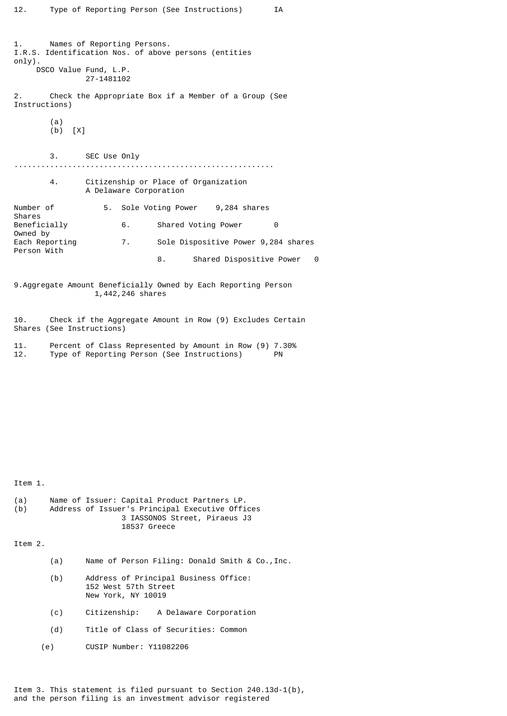1. Names of Reporting Persons. I.R.S. Identification Nos. of above persons (entities only). DSCO Value Fund, L.P. 27-1481102 2. Check the Appropriate Box if a Member of a Group (See Instructions)  $\begin{matrix} (a) \\ (b) \end{matrix}$  $[X]$ 3. SEC Use Only .......................................................... 4. Citizenship or Place of Organization A Delaware Corporation Number of 5. Sole Voting Power 9,284 shares Shares<br>Beneficially 6. Shared Voting Power 0 Owned by Each Reporting 7. Sole Dispositive Power 9,284 shares Person With 8. Shared Dispositive Power 0 9.Aggregate Amount Beneficially Owned by Each Reporting Person 1,442,246 shares 10. Check if the Aggregate Amount in Row (9) Excludes Certain Shares (See Instructions) 11. Percent of Class Represented by Amount in Row (9) 7.30%<br>12. Type of Reporting Person (See Instructions) PN Type of Reporting Person (See Instructions) Item 1. (a) Name of Issuer: Capital Product Partners LP.<br>(b) Address of Issuer's Principal Executive Offi Address of Issuer's Principal Executive Offices 3 IASSONOS Street, Piraeus J3 18537 Greece Item 2. (a) Name of Person Filing: Donald Smith & Co.,Inc. (b) Address of Principal Business Office:

152 West 57th Street New York, NY 10019

- (c) Citizenship: A Delaware Corporation
- (d) Title of Class of Securities: Common
- (e) CUSIP Number: Y11082206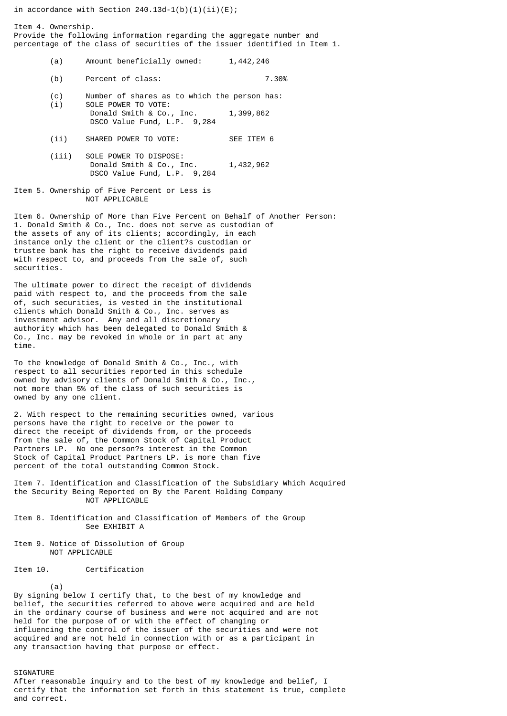in accordance with Section  $240.13d-1(b)(1)(ii)(E);$ 

Item 4. Ownership. Provide the following information regarding the aggregate number and percentage of the class of securities of the issuer identified in Item 1.

- (a) Amount beneficially owned: 1,442,246
- (b) Percent of class: 7.30%
- (c) Number of shares as to which the person has: (i) SOLE POWER TO VOTE:
- Donald Smith & Co., Inc. 1,399,862 DSCO Value Fund, L.P. 9,284
- (ii) SHARED POWER TO VOTE: SEE ITEM 6
- (iii) SOLE POWER TO DISPOSE: Donald Smith & Co., Inc. 1,432,962 DSCO Value Fund, L.P. 9,284
- Item 5. Ownership of Five Percent or Less is NOT APPLICABLE

Item 6. Ownership of More than Five Percent on Behalf of Another Person: 1. Donald Smith & Co., Inc. does not serve as custodian of the assets of any of its clients; accordingly, in each instance only the client or the client?s custodian or trustee bank has the right to receive dividends paid with respect to, and proceeds from the sale of, such securities.

The ultimate power to direct the receipt of dividends paid with respect to, and the proceeds from the sale of, such securities, is vested in the institutional clients which Donald Smith & Co., Inc. serves as investment advisor. Any and all discretionary authority which has been delegated to Donald Smith & Co., Inc. may be revoked in whole or in part at any time.

To the knowledge of Donald Smith & Co., Inc., with respect to all securities reported in this schedule owned by advisory clients of Donald Smith & Co., Inc., not more than 5% of the class of such securities is owned by any one client.

2. With respect to the remaining securities owned, various persons have the right to receive or the power to direct the receipt of dividends from, or the proceeds from the sale of, the Common Stock of Capital Product Partners LP. No one person?s interest in the Common Stock of Capital Product Partners LP. is more than five percent of the total outstanding Common Stock.

Item 7. Identification and Classification of the Subsidiary Which Acquired the Security Being Reported on By the Parent Holding Company NOT APPLICABLE

- Item 8. Identification and Classification of Members of the Group See EXHIBIT A
- Item 9. Notice of Dissolution of Group NOT APPLICABLE

Item 10. Certification

(a)

By signing below I certify that, to the best of my knowledge and belief, the securities referred to above were acquired and are held in the ordinary course of business and were not acquired and are not held for the purpose of or with the effect of changing or influencing the control of the issuer of the securities and were not acquired and are not held in connection with or as a participant in any transaction having that purpose or effect.

SIGNATURE

After reasonable inquiry and to the best of my knowledge and belief, I certify that the information set forth in this statement is true, complete and correct.